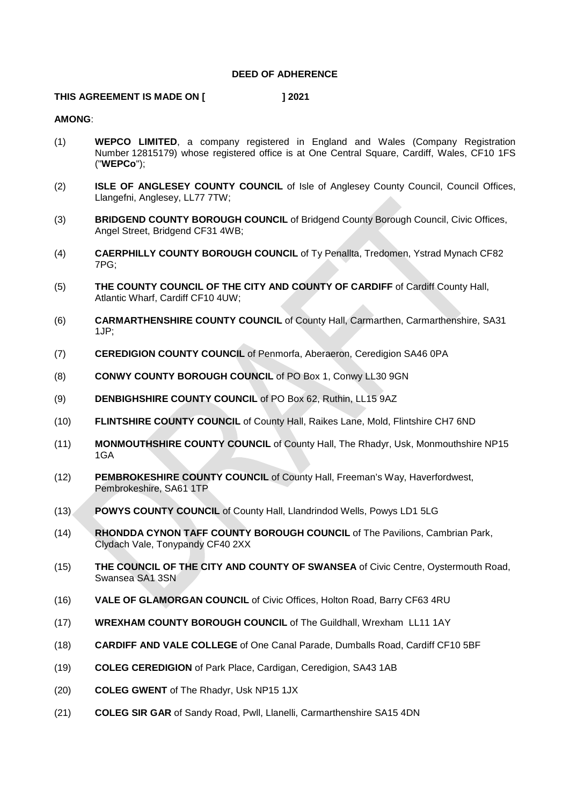## **DEED OF ADHERENCE**

## **THIS AGREEMENT IS MADE ON [ ] 2021**

## **AMONG**:

- (1) **WEPCO LIMITED**, a company registered in England and Wales (Company Registration Number 12815179) whose registered office is at One Central Square, Cardiff, Wales, CF10 1FS ("**WEPCo**");
- (2) **ISLE OF ANGLESEY COUNTY COUNCIL** of Isle of Anglesey County Council, Council Offices, Llangefni, Anglesey, LL77 7TW;
- (3) **BRIDGEND COUNTY BOROUGH COUNCIL** of Bridgend County Borough Council, Civic Offices, Angel Street, Bridgend CF31 4WB;
- (4) **CAERPHILLY COUNTY BOROUGH COUNCIL** of Ty Penallta, Tredomen, Ystrad Mynach CF82 7PG;
- (5) **THE COUNTY COUNCIL OF THE CITY AND COUNTY OF CARDIFF** of Cardiff County Hall, Atlantic Wharf, Cardiff CF10 4UW;
- (6) **CARMARTHENSHIRE COUNTY COUNCIL** of County Hall, Carmarthen, Carmarthenshire, SA31 1JP;
- (7) **CEREDIGION COUNTY COUNCIL** of Penmorfa, Aberaeron, Ceredigion SA46 0PA
- (8) **CONWY COUNTY BOROUGH COUNCIL** of PO Box 1, Conwy LL30 9GN
- (9) **DENBIGHSHIRE COUNTY COUNCIL** of PO Box 62, Ruthin, LL15 9AZ
- (10) **FLINTSHIRE COUNTY COUNCIL** of County Hall, Raikes Lane, Mold, Flintshire CH7 6ND
- (11) **MONMOUTHSHIRE COUNTY COUNCIL** of County Hall, The Rhadyr, Usk, Monmouthshire NP15 1GA
- (12) **PEMBROKESHIRE COUNTY COUNCIL** of County Hall, Freeman's Way, Haverfordwest, Pembrokeshire, SA61 1TP
- (13) **POWYS COUNTY COUNCIL** of County Hall, Llandrindod Wells, Powys LD1 5LG
- (14) **RHONDDA CYNON TAFF COUNTY BOROUGH COUNCIL** of The Pavilions, Cambrian Park, Clydach Vale, Tonypandy CF40 2XX
- (15) **THE COUNCIL OF THE CITY AND COUNTY OF SWANSEA** of Civic Centre, Oystermouth Road, Swansea SA1 3SN
- (16) **VALE OF GLAMORGAN COUNCIL** of Civic Offices, Holton Road, Barry CF63 4RU
- (17) **WREXHAM COUNTY BOROUGH COUNCIL** of The Guildhall, Wrexham LL11 1AY
- (18) **CARDIFF AND VALE COLLEGE** of One Canal Parade, Dumballs Road, Cardiff CF10 5BF
- (19) **COLEG CEREDIGION** of Park Place, Cardigan, Ceredigion, SA43 1AB
- (20) **COLEG GWENT** of The Rhadyr, Usk NP15 1JX
- (21) **COLEG SIR GAR** of Sandy Road, Pwll, Llanelli, Carmarthenshire SA15 4DN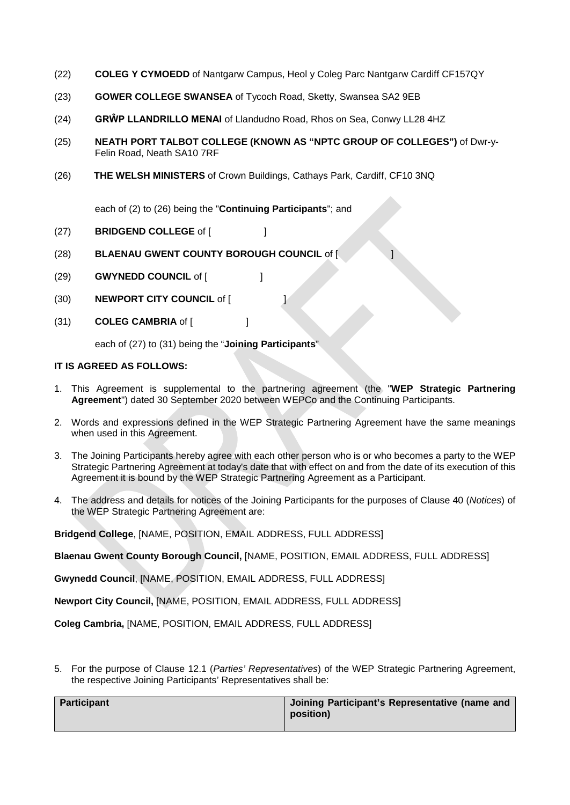- (22) **COLEG Y CYMOEDD** of Nantgarw Campus, Heol y Coleg Parc Nantgarw Cardiff CF157QY
- (23) **GOWER COLLEGE SWANSEA** of Tycoch Road, Sketty, Swansea SA2 9EB
- (24) **GRŴP LLANDRILLO MENAI** of Llandudno Road, Rhos on Sea, Conwy LL28 4HZ
- (25) **NEATH PORT TALBOT COLLEGE (KNOWN AS "NPTC GROUP OF COLLEGES")** of Dwr-y-Felin Road, Neath SA10 7RF
- (26) **THE WELSH MINISTERS** of Crown Buildings, Cathays Park, Cardiff, CF10 3NQ

each of (2) to (26) being the "**Continuing Participants**"; and

- (27) **BRIDGEND COLLEGE** of [ ]
- (28) **BLAENAU GWENT COUNTY BOROUGH COUNCIL** of [ ]
- (29) **GWYNEDD COUNCIL** of [ ]
- (30) **NEWPORT CITY COUNCIL** of [ ]
- (31) **COLEG CAMBRIA** of [ ]

each of (27) to (31) being the "**Joining Participants**"

## **IT IS AGREED AS FOLLOWS:**

- 1. This Agreement is supplemental to the partnering agreement (the "**WEP Strategic Partnering Agreement**") dated 30 September 2020 between WEPCo and the Continuing Participants.
- 2. Words and expressions defined in the WEP Strategic Partnering Agreement have the same meanings when used in this Agreement.
- 3. The Joining Participants hereby agree with each other person who is or who becomes a party to the WEP Strategic Partnering Agreement at today's date that with effect on and from the date of its execution of this Agreement it is bound by the WEP Strategic Partnering Agreement as a Participant.
- 4. The address and details for notices of the Joining Participants for the purposes of Clause 40 (*Notices*) of the WEP Strategic Partnering Agreement are:

**Bridgend College**, [NAME, POSITION, EMAIL ADDRESS, FULL ADDRESS]

**Blaenau Gwent County Borough Council,** [NAME, POSITION, EMAIL ADDRESS, FULL ADDRESS]

**Gwynedd Council**, [NAME, POSITION, EMAIL ADDRESS, FULL ADDRESS]

**Newport City Council,** [NAME, POSITION, EMAIL ADDRESS, FULL ADDRESS]

**Coleg Cambria,** [NAME, POSITION, EMAIL ADDRESS, FULL ADDRESS]

5. For the purpose of Clause 12.1 (*Parties' Representatives*) of the WEP Strategic Partnering Agreement, the respective Joining Participants' Representatives shall be:

| Participant | Joining Participant's Representative (name and<br>position) |
|-------------|-------------------------------------------------------------|
|             |                                                             |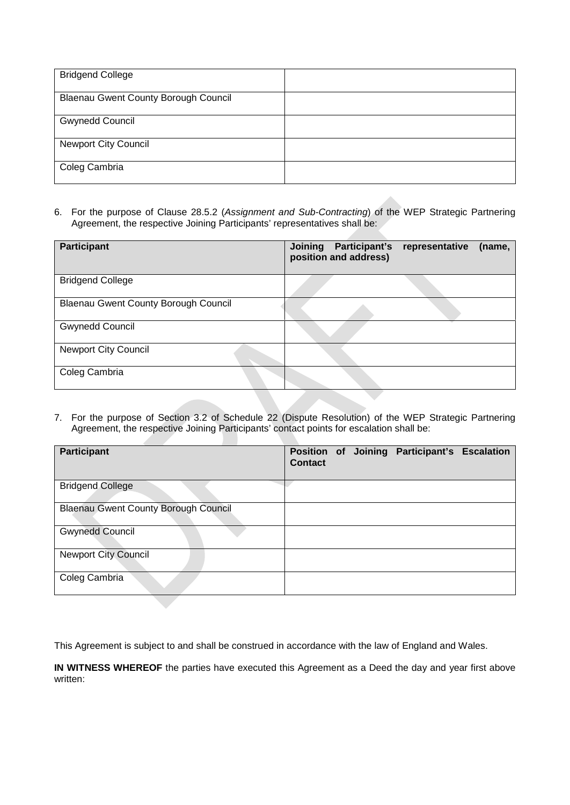| <b>Bridgend College</b>                     |  |
|---------------------------------------------|--|
| <b>Blaenau Gwent County Borough Council</b> |  |
| <b>Gwynedd Council</b>                      |  |
| <b>Newport City Council</b>                 |  |
| Coleg Cambria                               |  |

6. For the purpose of Clause 28.5.2 (*Assignment and Sub-Contracting*) of the WEP Strategic Partnering Agreement, the respective Joining Participants' representatives shall be:

| <b>Participant</b>                          | <b>Joining</b><br>Participant's<br>position and address) | representative<br>(name, |
|---------------------------------------------|----------------------------------------------------------|--------------------------|
| <b>Bridgend College</b>                     |                                                          |                          |
| <b>Blaenau Gwent County Borough Council</b> |                                                          |                          |
| <b>Gwynedd Council</b>                      |                                                          |                          |
| <b>Newport City Council</b>                 |                                                          |                          |
| Coleg Cambria                               |                                                          |                          |

7. For the purpose of Section 3.2 of Schedule 22 (Dispute Resolution) of the WEP Strategic Partnering Agreement, the respective Joining Participants' contact points for escalation shall be:

| <b>Participant</b>                          | Contact |  | Position of Joining Participant's Escalation |  |
|---------------------------------------------|---------|--|----------------------------------------------|--|
| <b>Bridgend College</b>                     |         |  |                                              |  |
| <b>Blaenau Gwent County Borough Council</b> |         |  |                                              |  |
| <b>Gwynedd Council</b>                      |         |  |                                              |  |
| <b>Newport City Council</b>                 |         |  |                                              |  |
| Coleg Cambria                               |         |  |                                              |  |

This Agreement is subject to and shall be construed in accordance with the law of England and Wales.

**IN WITNESS WHEREOF** the parties have executed this Agreement as a Deed the day and year first above written: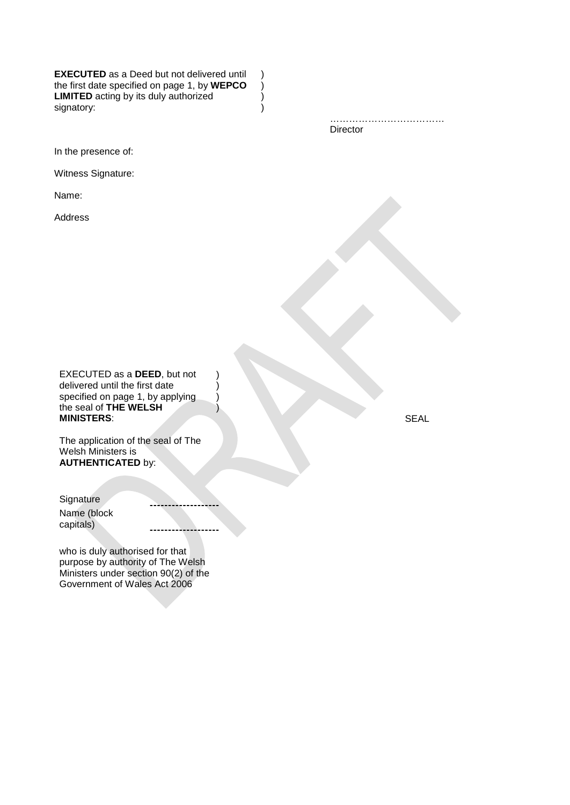**EXECUTED** as a Deed but not delivered until the first date specified on page 1, by **WEPCO** ) **LIMITED** acting by its duly authorized  $)$ signatory: (a) and (b) and (c) and (c) and (c) and (c) and (c) and (c) and (c) and (c) and (c) and (c) and (c)  $\geq$   $\geq$   $\geq$   $\geq$   $\geq$   $\geq$   $\geq$   $\geq$   $\geq$   $\geq$   $\geq$   $\geq$   $\geq$   $\geq$   $\geq$   $\geq$   $\geq$   $\geq$   $\ge$ 

> ………………………………… Director

In the presence of:

Witness Signature:

Name:

Address

EXECUTED as a **DEED**, but not delivered until the first date specified on page 1, by applying the seal of **THE WELSH MINISTERS**:

) ) ) )

----------

--------------------

The application of the seal of The Welsh Ministers is **AUTHENTICATED** by:

**Signature** Name (block capitals)

who is duly authorised for that purpose by authority of The Welsh Ministers under section 90(2) of the Government of Wales Act 2006

SEAL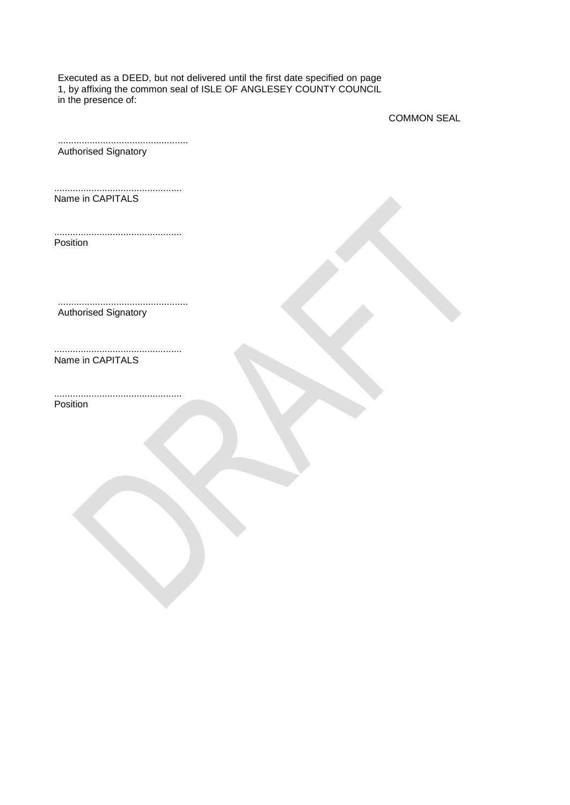Executed as a DEED, but not delivered until the first date specified on page 1, by affixing the common seal of ISLE OF ANGLESEY COUNTY COUNCIL in the presence of:

COMMON SEAL

| <b>Authorised Signatory</b> |  |
|-----------------------------|--|

................................................ Name in CAPITALS

................................................ Position

................................................. Authorised Signatory

Name in CAPITALS

................................................ Position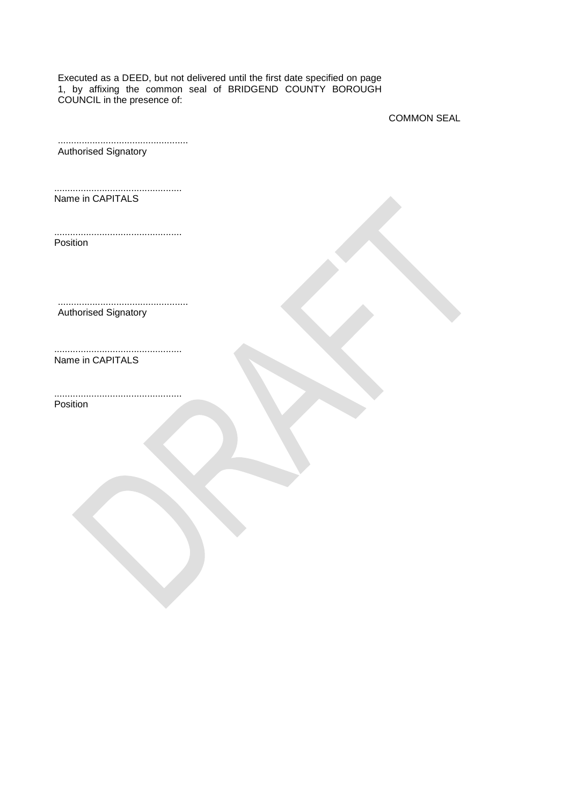Executed as a DEED, but not delivered until the first date specified on page 1, by affixing the common seal of BRIDGEND COUNTY BOROUGH COUNCIL in the presence of:

COMMON SEAL

| <b>Authorised Signatory</b> |  |
|-----------------------------|--|

................................................ Name in CAPITALS

................................................ Position

................................................. Authorised Signatory

Name in CAPITALS

................................................ Position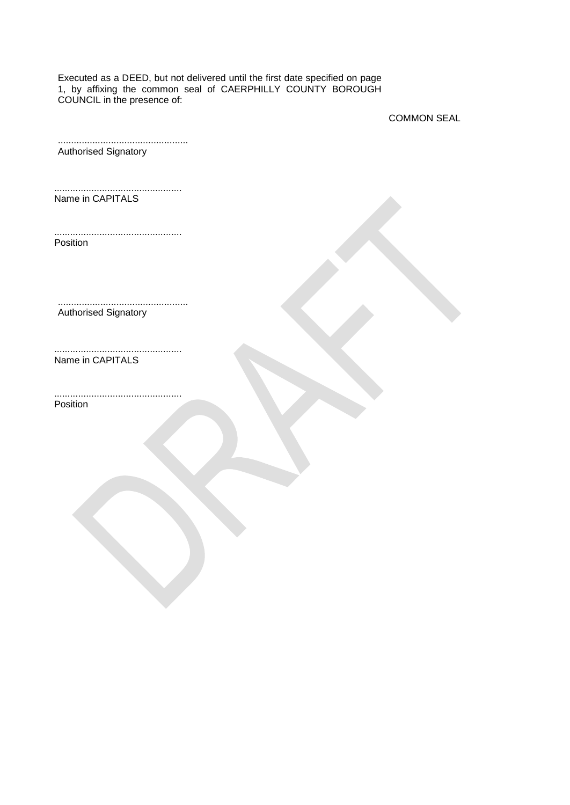Executed as a DEED, but not delivered until the first date specified on page 1, by affixing the common seal of CAERPHILLY COUNTY BOROUGH COUNCIL in the presence of:

COMMON SEAL

| <b>Authorised Signatory</b> |  |
|-----------------------------|--|

................................................ Name in CAPITALS

................................................ Position

................................................. Authorised Signatory

Name in CAPITALS

................................................ Position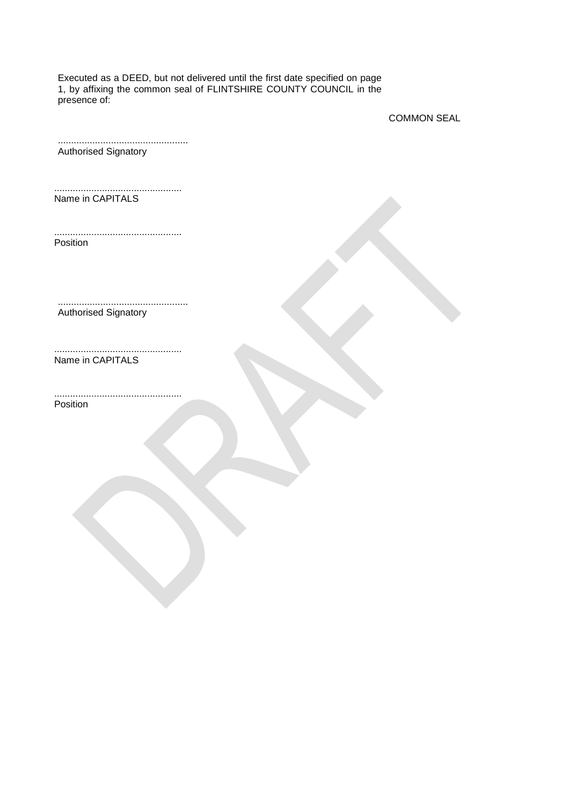Executed as a DEED, but not delivered until the first date specified on page 1, by affixing the common seal of FLINTSHIRE COUNTY COUNCIL in the presence of:

COMMON SEAL

| <b>Authorised Signatory</b> |  |
|-----------------------------|--|

................................................ Name in CAPITALS

................................................ Position

................................................. Authorised Signatory

Name in CAPITALS

................................................ Position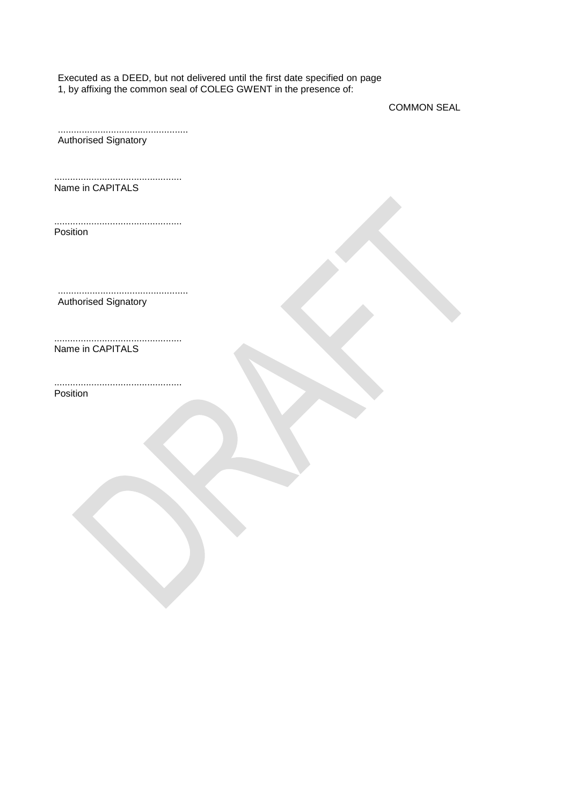Executed as a DEED, but not delivered until the first date specified on page 1, by affixing the common seal of COLEG GWENT in the presence of:

COMMON SEAL

................................................. Authorised Signatory ................................................ Name in CAPITALS ................................................ Position ................................................. Authorised Signatory ................................................ Name in CAPITALS ................................................ Position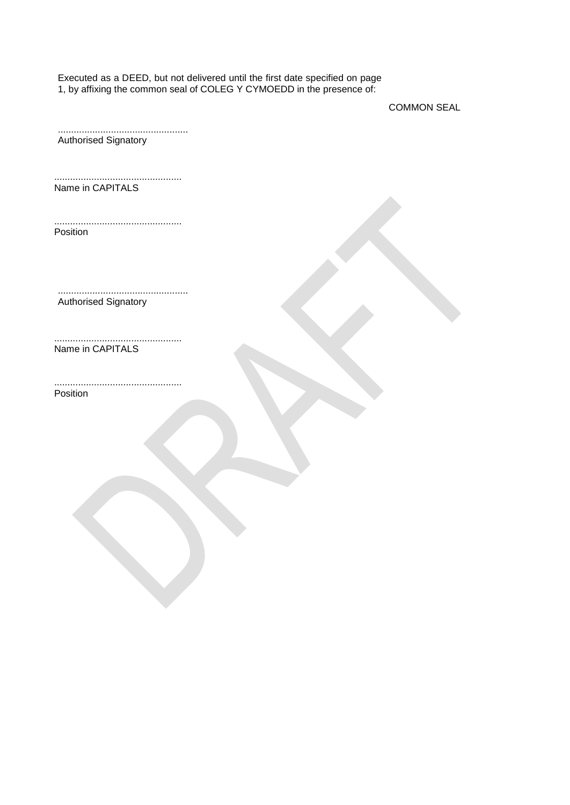Executed as a DEED, but not delivered until the first date specified on page 1, by affixing the common seal of COLEG Y CYMOEDD in the presence of:

COMMON SEAL

................................................. Authorised Signatory ................................................ Name in CAPITALS ................................................ Position ................................................. Authorised Signatory ................................................ Name in CAPITALS ................................................ Position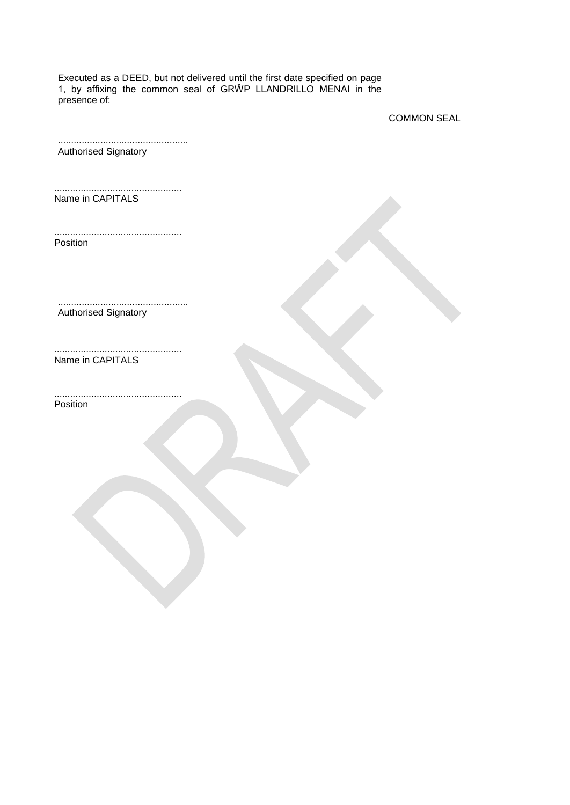Executed as a DEED, but not delivered until the first date specified on page 1, by affixing the common seal of GRŴP LLANDRILLO MENAI in the presence of:

COMMON SEAL

| <b>Authorised Signatory</b> |  |
|-----------------------------|--|

................................................ Name in CAPITALS

................................................ Position

................................................. Authorised Signatory

Name in CAPITALS

................................................ Position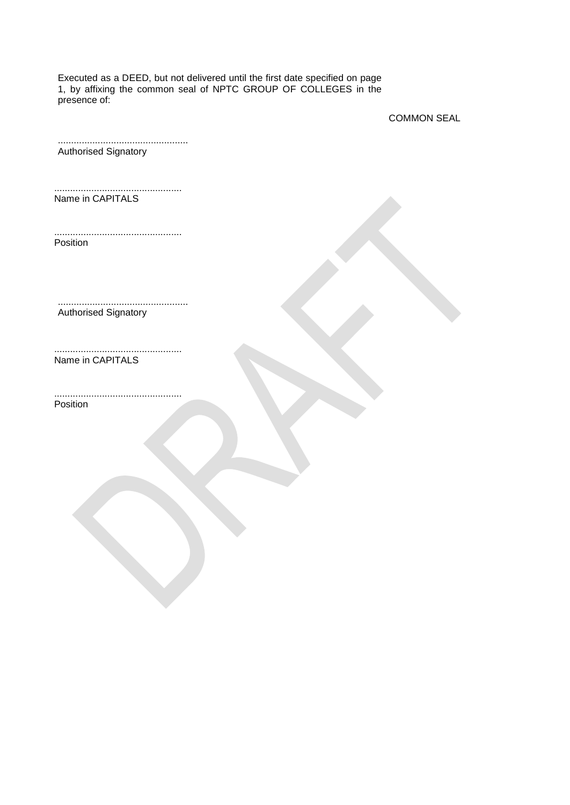Executed as a DEED, but not delivered until the first date specified on page 1, by affixing the common seal of NPTC GROUP OF COLLEGES in the presence of:

COMMON SEAL

| <b>Authorised Signatory</b> |  |
|-----------------------------|--|

................................................ Name in CAPITALS

................................................ Position

................................................. Authorised Signatory

Name in CAPITALS

................................................ Position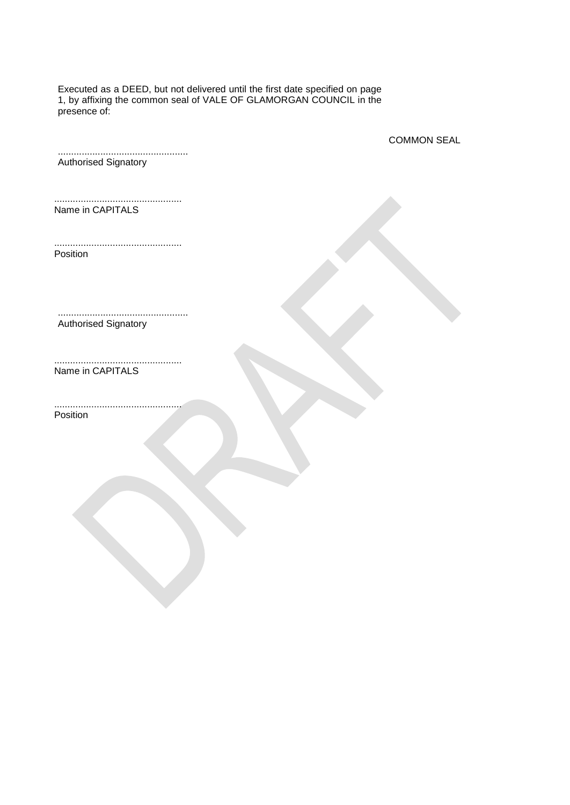Executed as a DEED, but not delivered until the first date specified on page 1, by affixing the common seal of VALE OF GLAMORGAN COUNCIL in the presence of:

COMMON SEAL

................................................. Authorised Signatory

................................................ Name in CAPITALS

................................................ Position

................................................. Authorised Signatory

................................................ Name in CAPITALS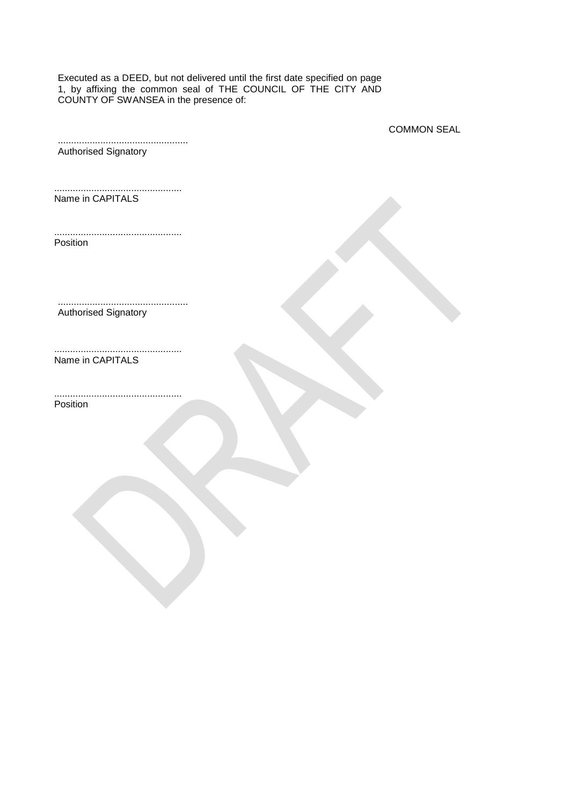Executed as a DEED, but not delivered until the first date specified on page 1, by affixing the common seal of THE COUNCIL OF THE CITY AND COUNTY OF SWANSEA in the presence of:

COMMON SEAL

................................................. Authorised Signatory

................................................ Name in CAPITALS

................................................ Position

................................................. Authorised Signatory

Name in CAPITALS

................................................ Position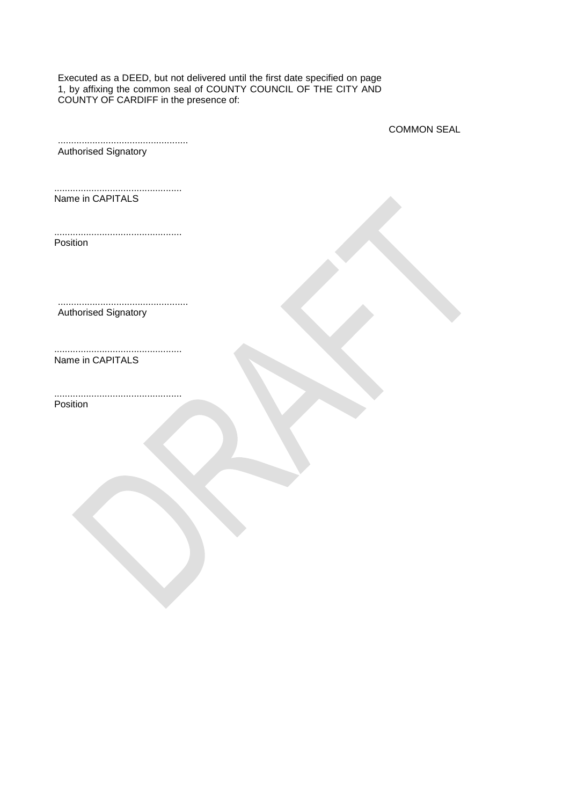Executed as a DEED, but not delivered until the first date specified on page 1, by affixing the common seal of COUNTY COUNCIL OF THE CITY AND COUNTY OF CARDIFF in the presence of:

COMMON SEAL

................................................. Authorised Signatory

................................................ Name in CAPITALS

................................................ Position

................................................. Authorised Signatory

Name in CAPITALS

................................................ Position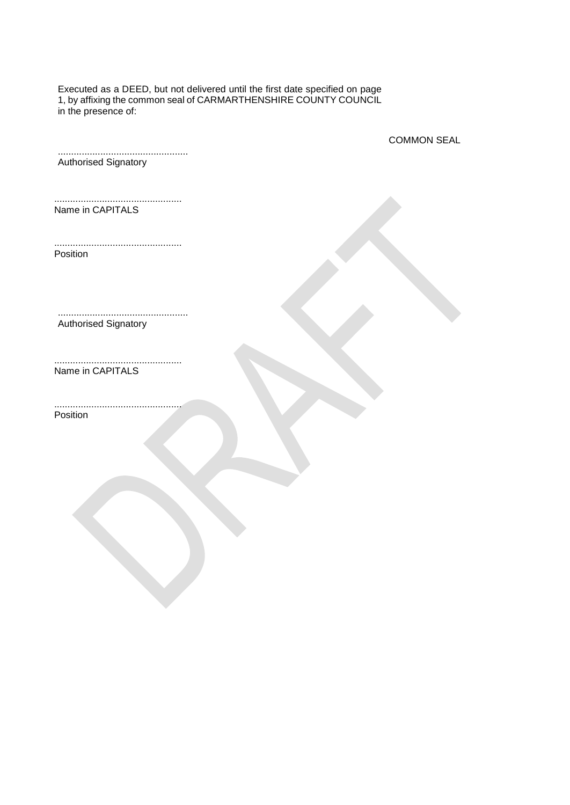Executed as a DEED, but not delivered until the first date specified on page 1, by affixing the common seal of CARMARTHENSHIRE COUNTY COUNCIL in the presence of:

COMMON SEAL

................................................. Authorised Signatory

................................................ Name in CAPITALS

................................................ Position

................................................. Authorised Signatory

................................................ Name in CAPITALS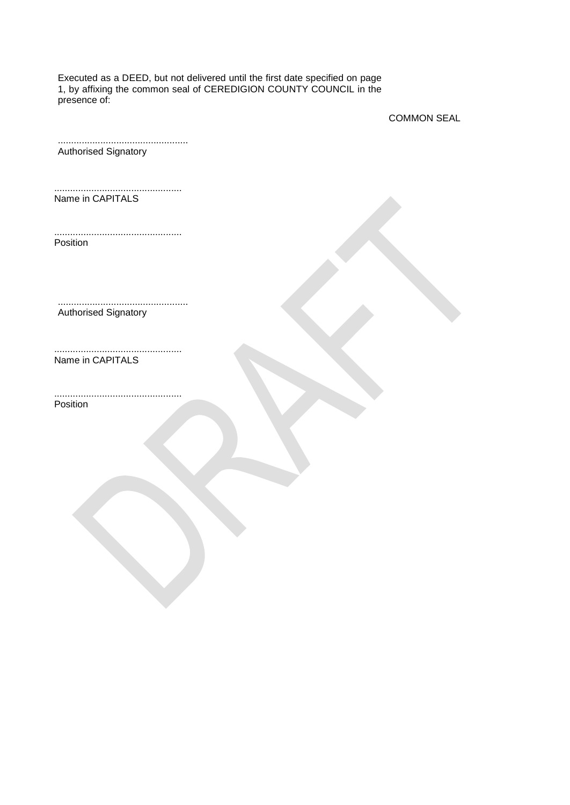Executed as a DEED, but not delivered until the first date specified on page 1, by affixing the common seal of CEREDIGION COUNTY COUNCIL in the presence of:

COMMON SEAL

| <b>Authorised Signatory</b> |  |
|-----------------------------|--|

................................................ Name in CAPITALS

................................................ Position

................................................. Authorised Signatory

Name in CAPITALS

................................................ Position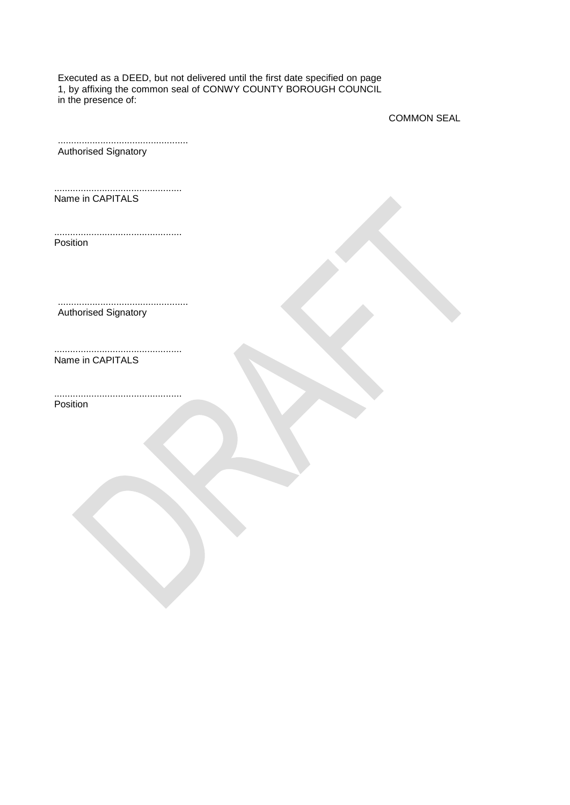Executed as a DEED, but not delivered until the first date specified on page 1, by affixing the common seal of CONWY COUNTY BOROUGH COUNCIL in the presence of:

COMMON SEAL

| <b>Authorised Signatory</b> |  |
|-----------------------------|--|

................................................ Name in CAPITALS

................................................ Position

................................................. Authorised Signatory

Name in CAPITALS

................................................ Position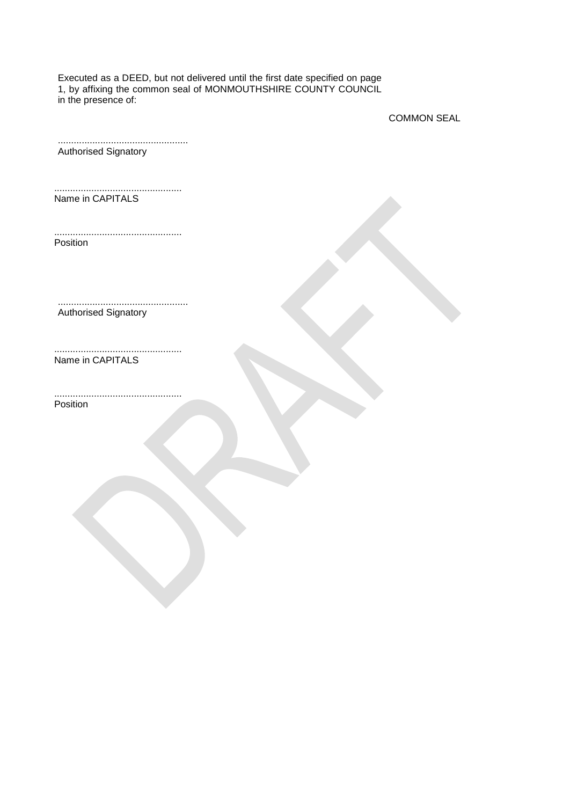Executed as a DEED, but not delivered until the first date specified on page 1, by affixing the common seal of MONMOUTHSHIRE COUNTY COUNCIL in the presence of:

COMMON SEAL

| <b>Authorised Signatory</b> |  |
|-----------------------------|--|

................................................ Name in CAPITALS

................................................ Position

................................................. Authorised Signatory

Name in CAPITALS

................................................ Position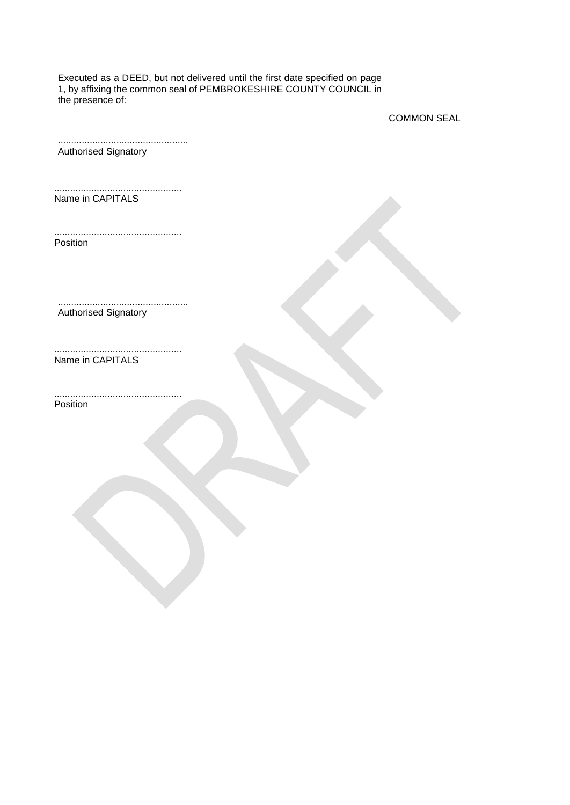Executed as a DEED, but not delivered until the first date specified on page 1, by affixing the common seal of PEMBROKESHIRE COUNTY COUNCIL in the presence of:

COMMON SEAL

| <b>Authorised Signatory</b> |  |
|-----------------------------|--|

................................................ Name in CAPITALS

................................................ Position

................................................. Authorised Signatory

Name in CAPITALS

................................................ Position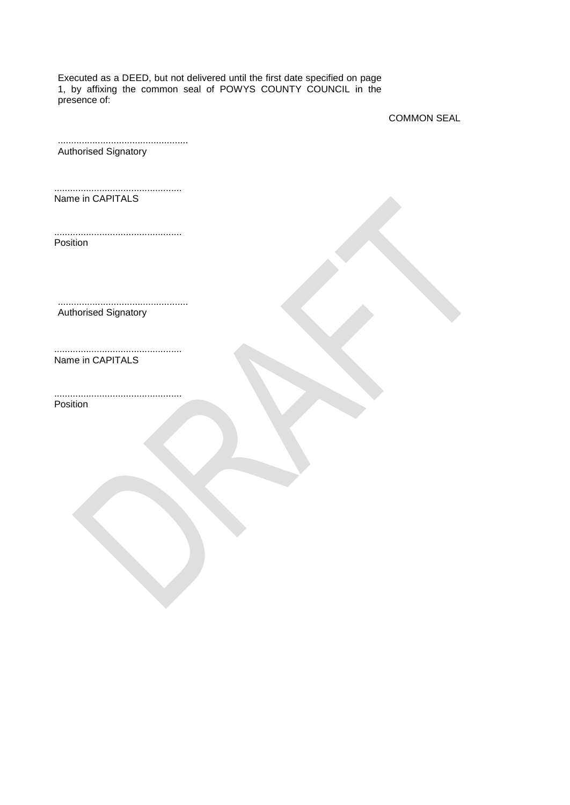Executed as a DEED, but not delivered until the first date specified on page 1, by affixing the common seal of POWYS COUNTY COUNCIL in the presence of:

COMMON SEAL

................................................. Authorised Signatory

................................................ Name in CAPITALS

................................................ Position

................................................. Authorised Signatory

Name in CAPITALS

................................................ Position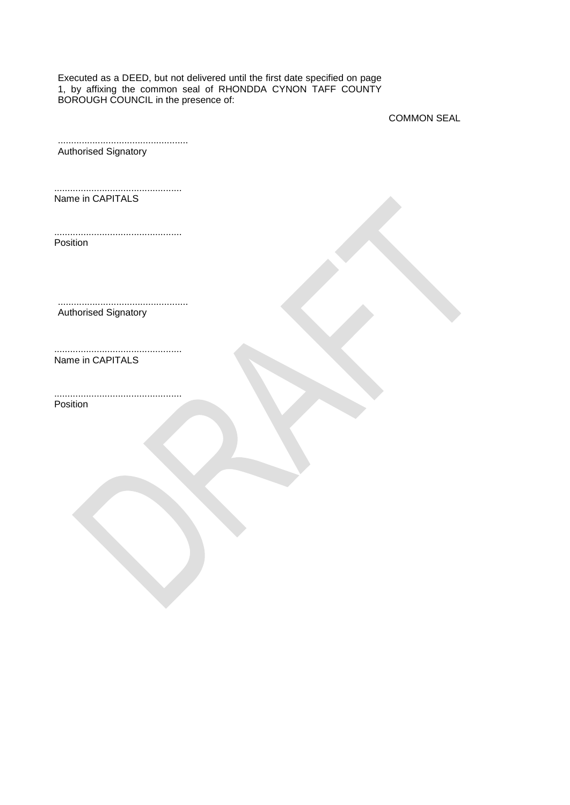Executed as a DEED, but not delivered until the first date specified on page 1, by affixing the common seal of RHONDDA CYNON TAFF COUNTY BOROUGH COUNCIL in the presence of:

COMMON SEAL

| <b>Authorised Signatory</b> |  |
|-----------------------------|--|

................................................ Name in CAPITALS

................................................ Position

................................................. Authorised Signatory

Name in CAPITALS

................................................ Position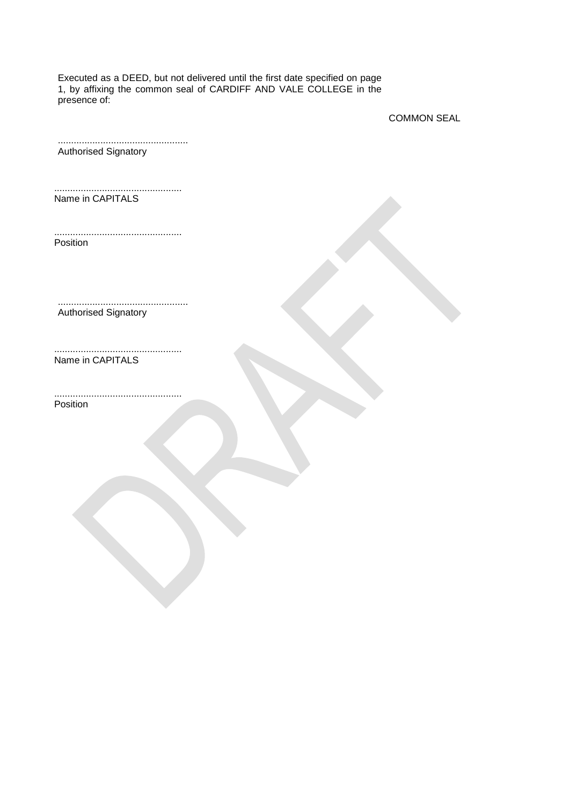Executed as a DEED, but not delivered until the first date specified on page 1, by affixing the common seal of CARDIFF AND VALE COLLEGE in the presence of:

COMMON SEAL

| <b>Authorised Signatory</b> |  |
|-----------------------------|--|

................................................ Name in CAPITALS

................................................ Position

................................................. Authorised Signatory

Name in CAPITALS

................................................ Position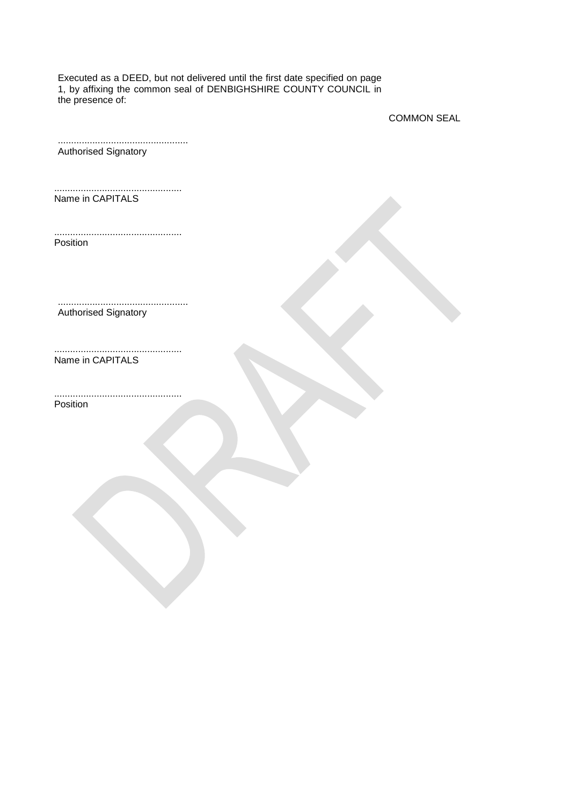Executed as a DEED, but not delivered until the first date specified on page 1, by affixing the common seal of DENBIGHSHIRE COUNTY COUNCIL in the presence of:

COMMON SEAL

| <b>Authorised Signatory</b> |  |
|-----------------------------|--|

................................................ Name in CAPITALS

................................................ Position

................................................. Authorised Signatory

Name in CAPITALS

................................................ Position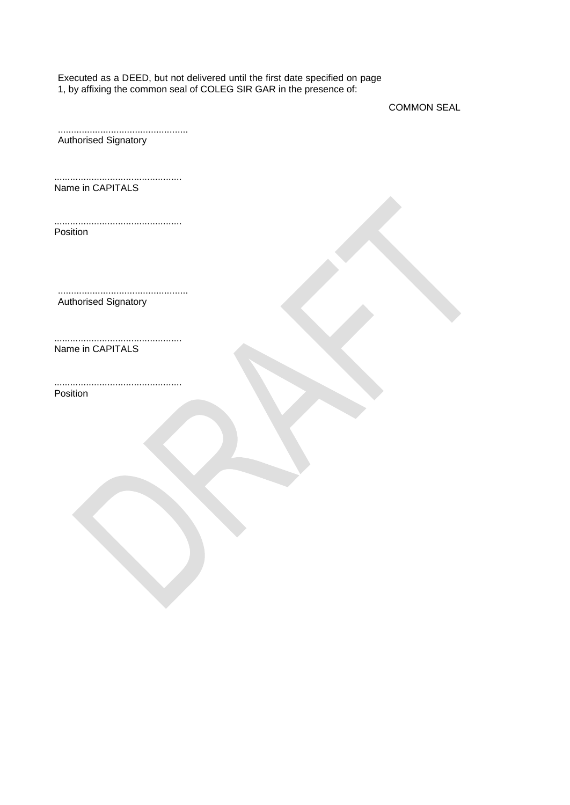Executed as a DEED, but not delivered until the first date specified on page 1, by affixing the common seal of COLEG SIR GAR in the presence of:

COMMON SEAL

................................................. Authorised Signatory

................................................ Name in CAPITALS

................................................ Position

................................................. Authorised Signatory

................................................ Name in CAPITALS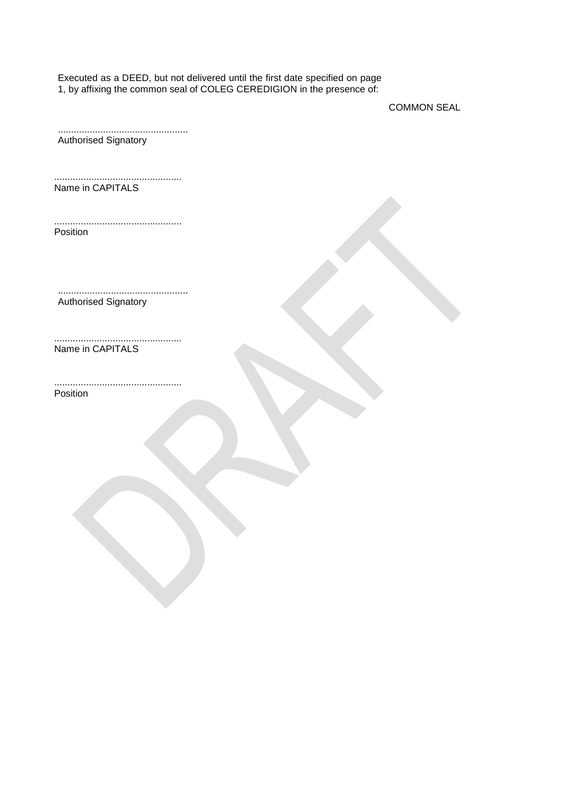Executed as a DEED, but not delivered until the first date specified on page 1, by affixing the common seal of COLEG CEREDIGION in the presence of:

COMMON SEAL

| Authorised Signatory |  |
|----------------------|--|
| Name in CAPITALS     |  |
| Position             |  |
| Authorised Signatory |  |
| Name in CAPITALS     |  |
| Position             |  |
|                      |  |
|                      |  |
|                      |  |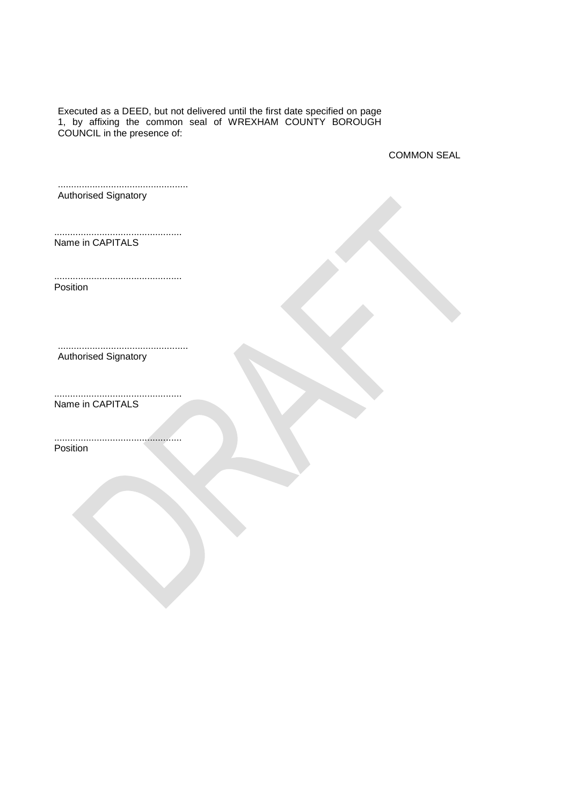Executed as a DEED, but not delivered until the first date specified on page 1, by affixing the common seal of WREXHAM COUNTY BOROUGH COUNCIL in the presence of:

COMMON SEAL

................................................. Authorised Signatory

................................................ Name in CAPITALS

................................................ Position

................................................. Authorised Signatory

................................................ Name in CAPITALS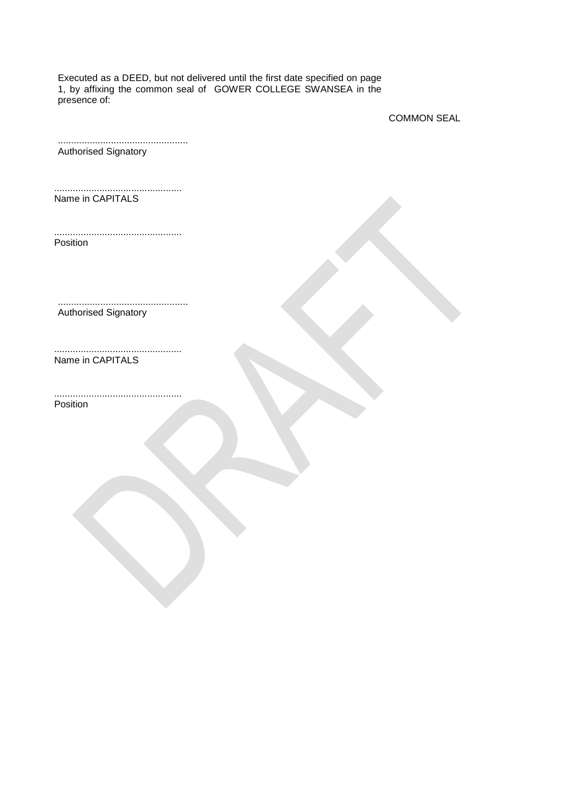Executed as a DEED, but not delivered until the first date specified on page 1, by affixing the common seal of GOWER COLLEGE SWANSEA in the presence of:

COMMON SEAL

| <b>Authorised Signatory</b> |  |
|-----------------------------|--|

................................................ Name in CAPITALS

................................................ Position

................................................. Authorised Signatory

Name in CAPITALS

................................................ Position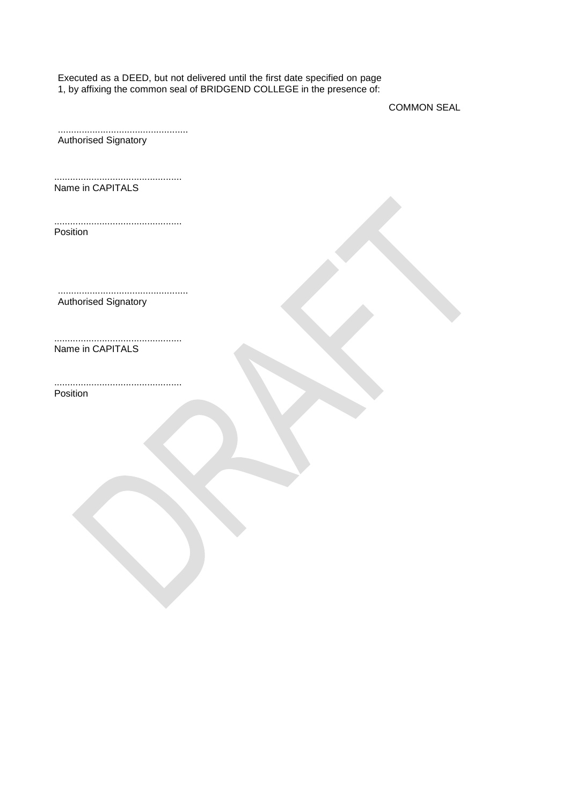Executed as a DEED, but not delivered until the first date specified on page 1, by affixing the common seal of BRIDGEND COLLEGE in the presence of:

COMMON SEAL

................................................. Authorised Signatory ................................................ Name in CAPITALS ................................................ Position ................................................. Authorised Signatory ................................................ Name in CAPITALS ................................................ Position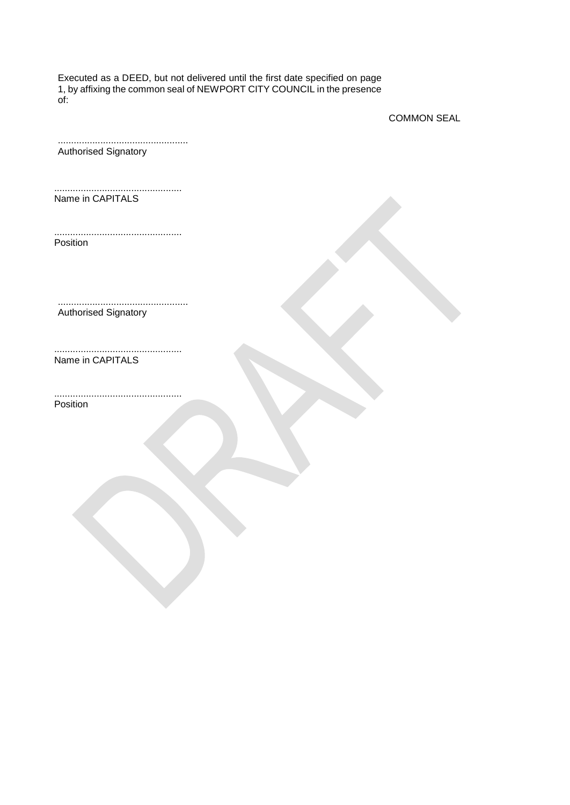Executed as a DEED, but not delivered until the first date specified on page 1, by affixing the common seal of NEWPORT CITY COUNCIL in the presence of:

COMMON SEAL

| <b>Authorised Signatory</b> |  |
|-----------------------------|--|

................................................ Name in CAPITALS

................................................ Position

................................................. Authorised Signatory

Name in CAPITALS

................................................ Position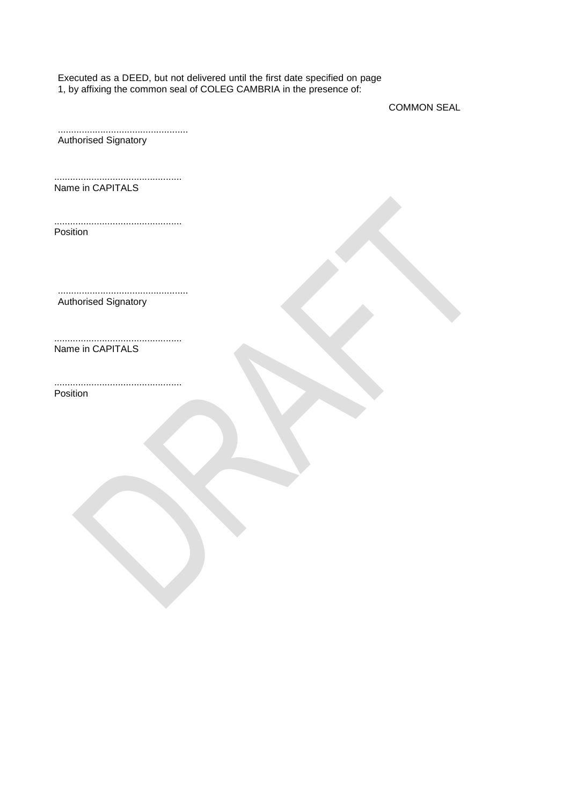Executed as a DEED, but not delivered until the first date specified on page 1, by affixing the common seal of COLEG CAMBRIA in the presence of:

COMMON SEAL

................................................. Authorised Signatory

................................................ Name in CAPITALS

................................................ Position

................................................. Authorised Signatory

................................................ Name in CAPITALS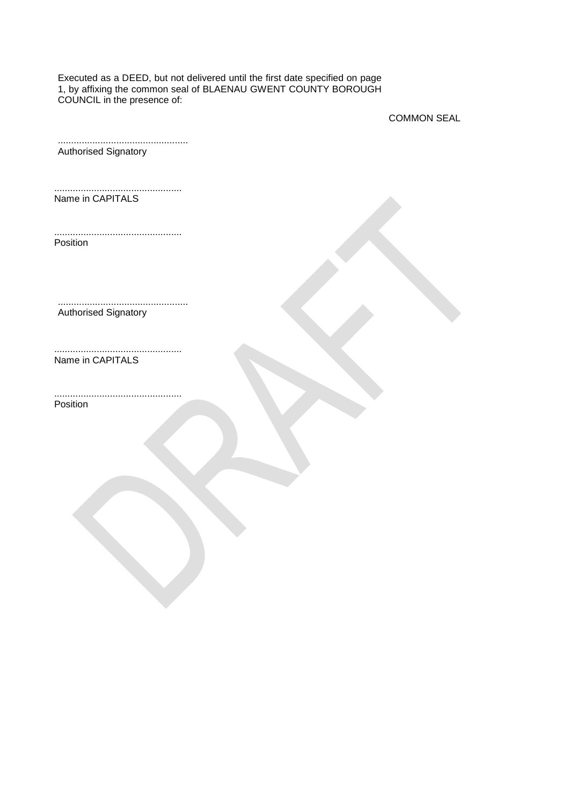Executed as a DEED, but not delivered until the first date specified on page 1, by affixing the common seal of BLAENAU GWENT COUNTY BOROUGH COUNCIL in the presence of:

COMMON SEAL

| <b>Authorised Signatory</b> |  |  |
|-----------------------------|--|--|

................................................ Name in CAPITALS

................................................ Position

................................................. Authorised Signatory

Name in CAPITALS

................................................ Position